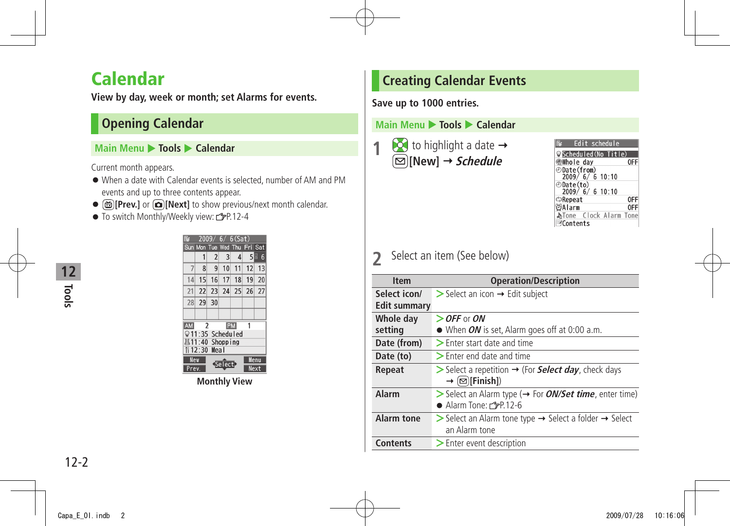## <span id="page-1-0"></span>**Calendar**

**View by day, week or month; set Alarms for events.**

## **Opening Calendar**

#### **Main Menu** X **Tools** X **Calendar**

Current month appears.

- When a date with Calendar events is selected, number of AM and PM events and up to three contents appear.
- **[Prev.]** or **[Next]** to show previous/next month calendar.
- $\bullet$  To switch Monthly/Weekly view:  $\mathbb{Z}$ P.12-4

| 6(Sat)<br>6<br>2009     |                     |                |        |                |         |                 |
|-------------------------|---------------------|----------------|--------|----------------|---------|-----------------|
|                         | Sun Mon Tue Wed Thu |                |        |                | Fri Sat |                 |
|                         | 1                   | $\overline{2}$ | 3      | $\overline{4}$ | 5周      | $6\overline{6}$ |
|                         | 8                   | 9              | 10     | 11             | 12      | 13              |
| 14                      | 15                  | 16             | 17     | 18             | 19      | 20              |
| 21                      | 22                  | 23             |        | 24 25          | 26      | 27              |
| 28                      | 29                  | 30             |        |                |         |                 |
|                         |                     |                |        |                |         |                 |
| <b>AM</b>               | $\overline{2}$      |                |        | PM             |         |                 |
| ⊙1                      | :35 Scheduled       |                |        |                |         |                 |
| <b>\$11:40 Shopping</b> |                     |                |        |                |         |                 |
| 12:30 Meal              |                     |                |        |                |         |                 |
| <b>New</b>              |                     |                |        |                |         | <b>Menu</b>     |
| Prev.                   |                     |                | Select |                |         | Next            |

**Monthly View**

## **Creating Calendar Events**

**Save up to 1000 entries.**

#### **Main Menu ▶ Tools ▶ Calendar**



| Edit schedule         |     |
|-----------------------|-----|
| Scheduled(No Title)   |     |
| ∰Whole day            | ΩFI |
| ⊕Date(from)           |     |
| 2009/ 6/ 6 10:10      |     |
| ⊕Date(to)             |     |
| 2009/6/6 10:10        |     |
| ⊅Repeat               |     |
| ∛Alarm                |     |
| bTone Clock Alarm Ton |     |
| <b>EContents</b>      |     |

## **2** Select an item (See below)

| <b>Item</b>                  | <b>Operation/Description</b>                                                                                                  |
|------------------------------|-------------------------------------------------------------------------------------------------------------------------------|
| Select icon/<br>Edit summary | $\triangleright$ Select an icon $\rightarrow$ Edit subject                                                                    |
| Whole day<br>setting         | $\ge$ OFF or ON<br>$\bullet$ When <i>ON</i> is set, Alarm goes off at 0:00 a.m.                                               |
| Date (from)                  | > Enter start date and time                                                                                                   |
| Date (to)                    | $\geq$ Enter end date and time                                                                                                |
| Repeat                       | $\triangleright$ Select a repetition $\rightarrow$ (For <b>Select day</b> , check days<br>$\rightarrow$ ( $\boxdot$ [Finish]) |
| Alarm                        | $\triangleright$ Select an Alarm type ( $\rightarrow$ For <i>ON/Set time</i> , enter time)<br>Alarm Tone: CPP.12-6            |
| <b>Alarm tone</b>            | Select an Alarm tone type $\rightarrow$ Select a folder $\rightarrow$ Select<br>an Alarm tone                                 |
| <b>Contents</b>              | > Enter event description                                                                                                     |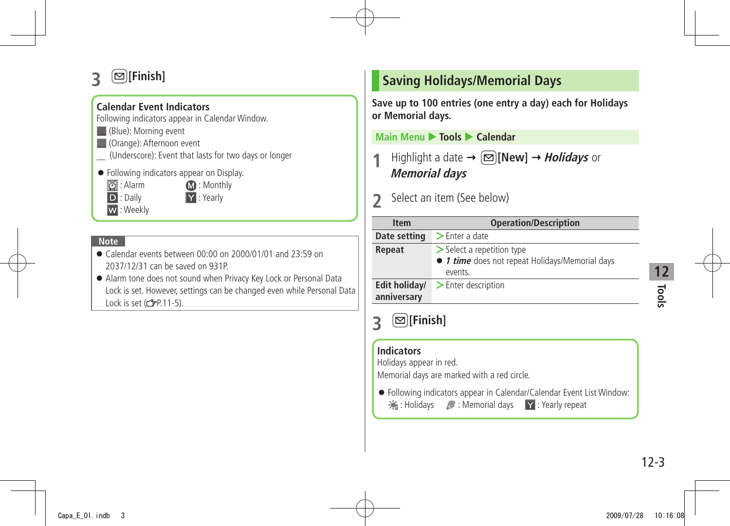## <span id="page-2-0"></span>**3 [Finish]**

### **Calendar Event Indicators**

Following indicators appear in Calendar Window.

- (Blue): Morning event
- **(Orange): Afternoon event**
- (Underscore): Event that lasts for two davs or longer
- Following indicators appear on Display.
	- **2**: Alarm **12:** Monthly

D : Daily **Y** : Yearly

W : Weekly

#### **Note**

- Calendar events between 00:00 on 2000/01/01 and 23:59 on 2037/12/31 can be saved on 931P.
- Alarm tone does not sound when Privacy Key Lock or Personal Data Lock is set. However, settings can be changed even while Personal Data Lock is set  $(\sqrt{27}P.11-5)$ .

## **Saving Holidays/Memorial Days**

**Save up to 100 entries (one entry a day) each for Holidays or Memorial days.**

**Main Menu** X **Tools** X **Calendar**

**Highlight a date**  $\rightarrow \Box$  **[New]**  $\rightarrow$ *Holidays* or **Memorial days**

**2** Select an item (See below)

| <b>Item</b>                  | <b>Operation/Description</b>                                                                  |
|------------------------------|-----------------------------------------------------------------------------------------------|
| Date setting                 | $\blacktriangleright$ Enter a date                                                            |
| Repeat                       | $\geq$ Select a repetition type<br>● 1 time does not repeat Holidays/Memorial days<br>events. |
| Edit holiday/<br>anniversary | > Enter description                                                                           |

#### **Indicators**

Holidays appear in red.

Memorial days are marked with a red circle.

● Following indicators appear in Calendar/Calendar Event List Window: **※: Holidays** / Memorial days Y: Yearly repeat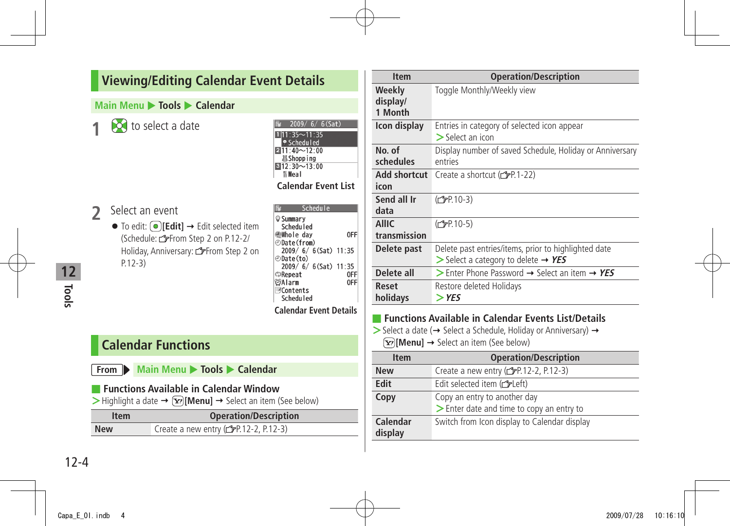### <span id="page-3-0"></span>**Viewing/Editing Calendar Event Details**

#### **Main Menu**  $\triangleright$  **Tools**  $\triangleright$  **Calendar**

**10** to select a date

| 2 Select an event                                                  |
|--------------------------------------------------------------------|
| $\bullet$ To edit: $\circ$ [Edit] $\rightarrow$ Edit selected item |

(Schedule: From Step 2 on P.12-2/ Holiday, Anniversary: From Step 2 on P.12-3)

| $2009/ 6/ 6$ (Sat)            |
|-------------------------------|
| $111:35 - 11:35$<br>Scheduled |
| $211:40 - 12:00$              |
| 基Shopping<br>$812:30 - 13:00$ |
| <b>Il Meal</b>                |
| <b>Calendar Event List</b>    |

Schedule **Summary** Scheduled **Whole day** 0FF ⊕Date(from)  $2009/6/6$  (Sat) 11:35 ⊕Date(to)  $2009/ 6/ 6 (Sat) 11:35$ **DReneat** 0FF  $<sup>6</sup>$ Alarm</sup> OFF Contents Scheduled **Calendar Event Details**

## **Calendar Functions**

|  |  |  |  |  |  |  | From Main Menu > Tools > Calendar |  |
|--|--|--|--|--|--|--|-----------------------------------|--|
|--|--|--|--|--|--|--|-----------------------------------|--|

|  | <b>Functions Available in Calendar Window</b> |  |  |  |  |
|--|-----------------------------------------------|--|--|--|--|
|--|-----------------------------------------------|--|--|--|--|

 $\triangleright$  Highlight a date  $\rightarrow \widehat{X}$ **[Menu]**  $\rightarrow$  Select an item (See below)

| <b>Item</b> | <b>Operation/Description</b>                     |
|-------------|--------------------------------------------------|
| <b>New</b>  | Create a new entry $(\mathcal{C}P.12-2, P.12-3)$ |

| <b>Item</b>                   | <b>Operation/Description</b>                                                                                                                                      |
|-------------------------------|-------------------------------------------------------------------------------------------------------------------------------------------------------------------|
| Weekly<br>display/<br>1 Month | Toggle Monthly/Weekly view                                                                                                                                        |
| Icon display                  | Entries in category of selected icon appear<br>$\geq$ Select an icon                                                                                              |
| No. of<br>schedules           | Display number of saved Schedule, Holiday or Anniversary<br>entries                                                                                               |
| Add shortcut<br>icon          | Create a shortcut (CPP.1-22)                                                                                                                                      |
| Send all Ir<br>data           | (C <sub>J</sub> P 10-3)                                                                                                                                           |
| <b>AllIC</b><br>transmission  | (C <sub>FP</sub> P.10-5)                                                                                                                                          |
| Delete past                   | Delete past entries/items, prior to highlighted date<br>$>$ Select a category to delete $\rightarrow$ YES                                                         |
| Delete all                    | Select an item $\rightarrow$ Ferrarian $\rightarrow$ YES                                                                                                          |
| Reset<br>holidays             | Restore deleted Holidays<br>$>$ YES                                                                                                                               |
|                               | <b>Functions Available in Calendar Events List/Details</b><br>$\rightarrow$ Soloct a data ( $\rightarrow$ Soloct a Schodulo Holiday or Anniversary) $\rightarrow$ |

→ Select a date (→ Select a Schedule, Holiday or Anniversary) → **[** $\overline{Y}$ ] **[Menu]** → Select an item (See below)

| <b>Item</b>         | <b>Operation/Description</b>                                              |
|---------------------|---------------------------------------------------------------------------|
| <b>New</b>          | Create a new entry (real-2-2, P.12-3)                                     |
| Edit                | Edit selected item (creft)                                                |
| Copy                | Copy an entry to another day<br>> Enter date and time to copy an entry to |
| Calendar<br>display | Switch from Icon display to Calendar display                              |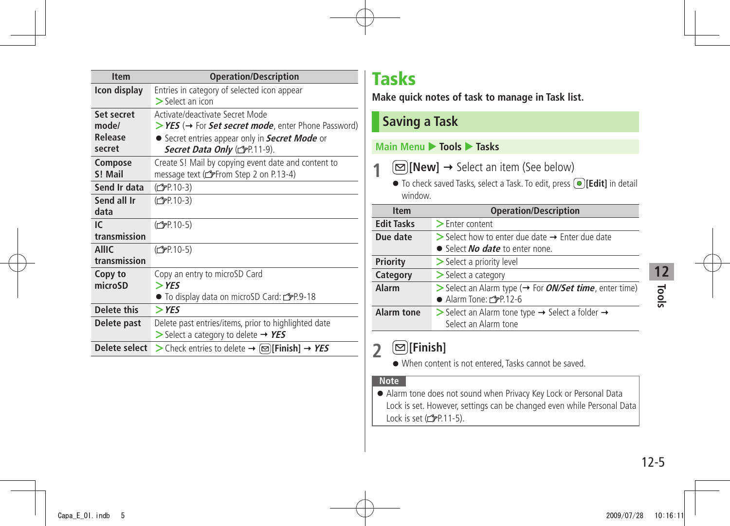<span id="page-4-0"></span>

| <b>Item</b>          | <b>Operation/Description</b>                                   |
|----------------------|----------------------------------------------------------------|
| Icon display         | Entries in category of selected icon appear                    |
|                      | $\geq$ Select an icon                                          |
| Set secret           | Activate/deactivate Secret Mode                                |
| mode/                | > YES (→ For Set secret mode, enter Phone Password)            |
| Release              | • Secret entries appear only in Secret Mode or                 |
| secret               | Secret Data Only (CFP.11-9).                                   |
| Compose              | Create S! Mail by copying event date and content to            |
| S! Mail              | message text (from Step 2 on P.13-4)                           |
| Send Ir data         | (C <sub>FP</sub> 10-3)                                         |
| Send all Ir          | (仁子P.10-3)                                                     |
| data                 |                                                                |
| IC                   | (C <sub>FP</sub> P.10-5)                                       |
| transmission         |                                                                |
| <b>AllIC</b>         | (C <sub>J</sub> P 10-5)                                        |
| transmission         |                                                                |
| Copy to              | Copy an entry to microSD Card                                  |
| microSD              | $>$ YES                                                        |
|                      | ● To display data on microSD Card: <a>P.9-18</a>               |
| Delete this          | $>$ YES                                                        |
| Delete past          | Delete past entries/items, prior to highlighted date           |
|                      | $\triangleright$ Select a category to delete $\rightarrow$ YES |
| <b>Delete select</b> | > Check entries to delete → $\infty$ [Finish] → YES            |

## **Tasks**

**Make quick notes of task to manage in Task list.**

## **Saving a Task**

### **Main Menu** X **Tools** X **Tasks**

- **1**  $\textcircled{=}$  [New]  $\rightarrow$  Select an item (See below)
	- To check saved Tasks, select a Task. To edit, press **[Edit]** in detail window.

| <b>Item</b>       | <b>Operation/Description</b>                                                                                                        |  |
|-------------------|-------------------------------------------------------------------------------------------------------------------------------------|--|
| <b>Edit Tasks</b> | $\geq$ Enter content                                                                                                                |  |
| Due date          | $\triangleright$ Select how to enter due date $\rightarrow$ Enter due date<br>• Select <i>No date</i> to enter none.                |  |
| Priority          | > Select a priority level                                                                                                           |  |
| Category          | $\geq$ Select a category                                                                                                            |  |
| Alarm             | $\triangleright$ Select an Alarm type ( $\rightarrow$ For <i>ON/Set time</i> , enter time)<br>$\bullet$ Alarm Tone: $\angle$ P.12-6 |  |
| <b>Alarm tone</b> | Select an Alarm tone type $\rightarrow$ Select a folder $\rightarrow$<br>Select an Alarm tone                                       |  |

## **2 [Finish]**

● When content is not entered, Tasks cannot be saved.

#### **Note**

● Alarm tone does not sound when Privacy Key Lock or Personal Data Lock is set. However, settings can be changed even while Personal Data Lock is set  $(2P.11-5)$ .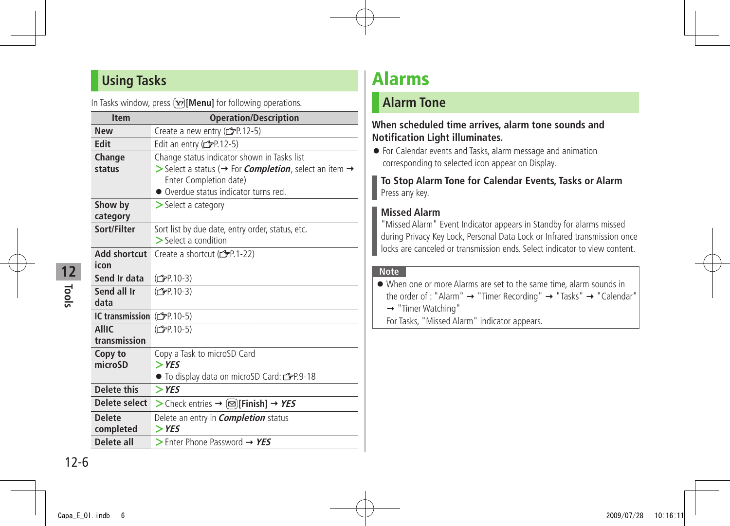## <span id="page-5-0"></span>**Using Tasks**

In Tasks window, press  $\boxed{\mathbf{x}}$  [Menu] for following operations.

| <b>Item</b>                  | <b>Operation/Description</b>                                                                                                                                                                           |
|------------------------------|--------------------------------------------------------------------------------------------------------------------------------------------------------------------------------------------------------|
| <b>New</b>                   | Create a new entry (copen 12-5)                                                                                                                                                                        |
| Edit                         | Edit an entry ( $\mathcal{F}$ P.12-5)                                                                                                                                                                  |
| Change<br>status             | Change status indicator shown in Tasks list<br>Select a status ( $\rightarrow$ For <i>Completion</i> , select an item $\rightarrow$<br>Enter Completion date)<br>• Overdue status indicator turns red. |
| Show by<br>category          | $\geq$ Select a category                                                                                                                                                                               |
| Sort/Filter                  | Sort list by due date, entry order, status, etc.<br>$\geq$ Select a condition                                                                                                                          |
| Add shortcut<br>icon         | Create a shortcut (r <sup>3</sup> P.1-22)                                                                                                                                                              |
| Send Ir data                 | (C <sub>J</sub> P 10-3)                                                                                                                                                                                |
| Send all Ir<br>data          | (C <sub>FP</sub> P 10-3)                                                                                                                                                                               |
| <b>IC transmission</b>       | (C <sub>FP.10-5</sub> )                                                                                                                                                                                |
| <b>AllIC</b><br>transmission | (C <sub>FP</sub> .10-5)                                                                                                                                                                                |
| Copy to<br>microSD           | Copy a Task to microSD Card<br>$>$ YES<br>● To display data on microSD Card: rep.9-18                                                                                                                  |
| <b>Delete this</b>           | $>$ YES                                                                                                                                                                                                |
| Delete select                | > Check entries $\rightarrow \infty$ [Finish] $\rightarrow$ YES                                                                                                                                        |
| <b>Delete</b>                | Delete an entry in <i>Completion</i> status                                                                                                                                                            |
| completed                    | $>$ YES                                                                                                                                                                                                |
| Delete all                   | $\triangleright$ Enter Phone Password $\rightarrow$ YES                                                                                                                                                |

## **Alarms**

## **Alarm Tone**

#### **When scheduled time arrives, alarm tone sounds and Notification Light illuminates.**

● For Calendar events and Tasks, alarm message and animation corresponding to selected icon appear on Display.

#### **To Stop Alarm Tone for Calendar Events, Tasks or Alarm** Press any key.

### **Missed Alarm**

"Missed Alarm" Event Indicator appears in Standby for alarms missed during Privacy Key Lock, Personal Data Lock or Infrared transmission once locks are canceled or transmission ends. Select indicator to view content.

#### **Note**

| • When one or more Alarms are set to the same time, alarm sounds in                                   |
|-------------------------------------------------------------------------------------------------------|
| the order of : "Alarm" $\rightarrow$ "Timer Recording" $\rightarrow$ "Tasks" $\rightarrow$ "Calendar" |

→ "Timer Watching"

For Tasks, "Missed Alarm" indicator appears.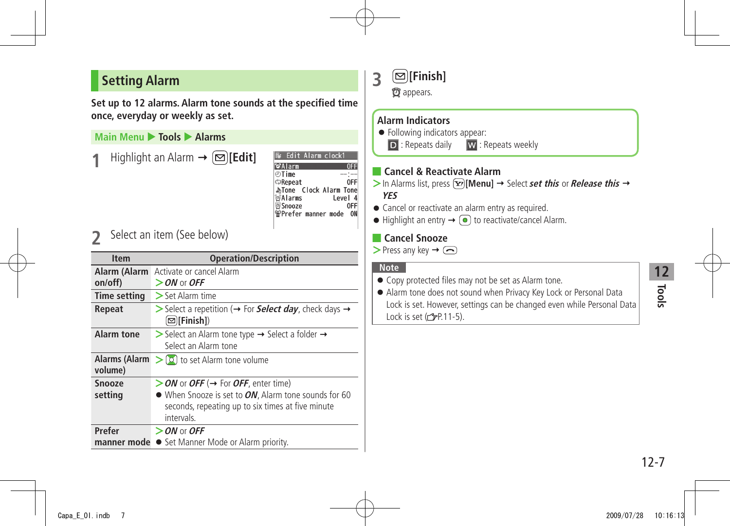## <span id="page-6-0"></span>**Setting Alarm**

**Set up to 12 alarms. Alarm tone sounds at the specified time once, everyday or weekly as set.**

### **Main Menu** X **Tools** X **Alarms**

 $Highlight$  an Alarm  $\rightarrow$   $\boxed{\odot}$  [**Edit**]

| Edit Alarm clock1             |         |
|-------------------------------|---------|
| sAlarm                        |         |
| ிTime                         |         |
| ⊅Repeat                       | 0FF     |
| <b>ATone Clock Alarm Tone</b> |         |
| ⊗Alarms                       | Level 4 |
| Snooze                        |         |
| <b>@Prefer manner mode</b>    |         |
|                               |         |
|                               |         |

**2** Select an item (See below)

| <b>Item</b>              | <b>Operation/Description</b>                                                                                            |
|--------------------------|-------------------------------------------------------------------------------------------------------------------------|
| on/off)                  | <b>Alarm (Alarm</b> Activate or cancel Alarm<br>$>$ ON or OFF                                                           |
| <b>Time setting</b>      | $>$ Set Alarm time                                                                                                      |
| Repeat                   | Select a repetition ( $\rightarrow$ For <b>Select day</b> , check days $\rightarrow$<br>⊠][Finish])                     |
| Alarm tone               | $\triangleright$ Select an Alarm tone type $\rightarrow$ Select a folder $\rightarrow$<br>Select an Alarm tone          |
| Alarms (Alarm<br>volume) | $\geq$ [0] to set Alarm tone volume                                                                                     |
| <b>Snooze</b>            | > ON or OFF (→ For OFF, enter time)                                                                                     |
| setting                  | • When Snooze is set to ON, Alarm tone sounds for 60<br>seconds, repeating up to six times at five minute<br>intervals. |
| Prefer                   | $>$ ON or OFF                                                                                                           |
| manner mode              | • Set Manner Mode or Alarm priority.                                                                                    |

| $\textcircled{S}$ [Finish] |
|----------------------------|
| $\bullet$ appears.         |

#### **Alarm Indicators**

● Following indicators appear:

D : Repeats daily W : Repeats weekly

#### ■ **Cancel & Reactivate Alarm**

 $>$  In Alarms list, press  $\widehat{X}$  [Menu]  $\rightarrow$  Select **set this** or **Release this**  $\rightarrow$ 

#### **YES**

- Cancel or reactivate an alarm entry as required.
- $\bullet$  Highlight an entry  $\rightarrow$   $\circledcirc$  to reactivate/cancel Alarm.

#### ■ **Cancel Snooze**

 $\triangleright$  Press any key  $\rightarrow$   $\odot$ 

#### **Note**

- Copy protected files may not be set as Alarm tone.
- Alarm tone does not sound when Privacy Key Lock or Personal Data Lock is set. However, settings can be changed even while Personal Data Lock is set  $(\mathcal{F}P.11-5)$ .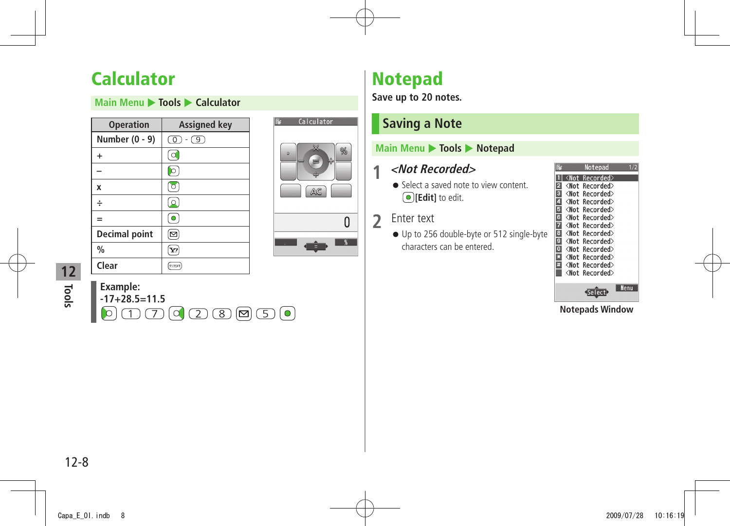## <span id="page-7-0"></span>**Calculator**

**Main Menu**  $\triangleright$  **Tools**  $\triangleright$  **Calculator** 

| <b>Operation</b>     | <b>Assigned key</b> |
|----------------------|---------------------|
| Number (0 - 9)       | $\circ$<br>$-$ (9)  |
| $\ddot{}$            |                     |
|                      |                     |
| X                    |                     |
| ÷                    |                     |
| $=$                  | $\bullet$           |
| <b>Decimal point</b> | ⊠                   |
| $\frac{0}{0}$        | Y!                  |
| Clear                | クリアメモ               |



 $\sqrt{8}$ 

**Tools**

**12**

| Example:                                                                                                                                                                                                                                                                                                                                                                                                                                                                                                                                                                                          |  |
|---------------------------------------------------------------------------------------------------------------------------------------------------------------------------------------------------------------------------------------------------------------------------------------------------------------------------------------------------------------------------------------------------------------------------------------------------------------------------------------------------------------------------------------------------------------------------------------------------|--|
| $-17+28.5=11.5$                                                                                                                                                                                                                                                                                                                                                                                                                                                                                                                                                                                   |  |
| $\textcolor{red}{\text{\textcircled{\tiny{1}}}} \textcolor{red}{\text{\textcircled{\tiny{1}}}} \textcolor{red}{\text{\textcircled{\tiny{1}}}} \textcolor{red}{\text{\textcircled{\tiny{1}}}} \textcolor{red}{\text{\textcircled{\tiny{1}}}} \textcolor{red}{\text{\textcircled{\tiny{1}}}} \textcolor{red}{\text{\textcircled{\tiny{1}}}} \textcolor{red}{\text{\textcircled{\tiny{1}}}} \textcolor{red}{\text{\textcircled{\tiny{1}}}} \textcolor{red}{\text{\textcircled{\tiny{1}}}} \textcolor{red}{\text{\textcircled{\tiny{1}}}} \textcolor{red}{\text{\textcircled{\tiny{1}}}} \textcolor{$ |  |

## **Notepad**

**Save up to 20 notes.**

## **Saving a Note**

#### **Main Menu**  $\triangleright$  **Tools**  $\triangleright$  **Notepad**

## **1 <Not Recorded>**

● Select a saved note to view content **[Edit]** to edit.

### **2** Enter text

● Up to 256 double-byte or 512 single-byte characters can be entered.

|   |                                                   | Notepad                 |      |
|---|---------------------------------------------------|-------------------------|------|
|   |                                                   | <not recorded=""></not> |      |
|   | <not< th=""><th>Recorded&gt;</th><th></th></not<> | Recorded>               |      |
|   | Mot                                               | Recorded>               |      |
|   |                                                   | <not recorded=""></not> |      |
|   |                                                   | <not recorded=""></not> |      |
| 6 | <not< th=""><th>Recorded&gt;</th><th></th></not<> | Recorded>               |      |
|   | <not< th=""><th>Recorded&gt;</th><th></th></not<> | Recorded>               |      |
| 8 | <not< th=""><th>Recorded&gt;</th><th></th></not<> | Recorded>               |      |
| G | <not< th=""><th>Recorded&gt;</th><th></th></not<> | Recorded>               |      |
|   | <not< th=""><th>Recorded&gt;</th><th></th></not<> | Recorded>               |      |
|   | ≺Not                                              | Recorded>               |      |
| ī | ≺Not                                              | Recorded>               |      |
|   | ≺Not                                              | Recorded>               |      |
|   |                                                   |                         |      |
|   |                                                   |                         | Menu |

**Notepads Window**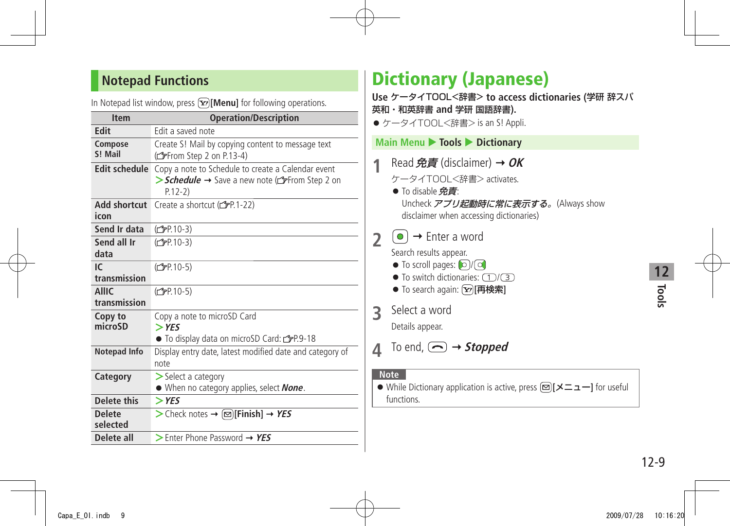## <span id="page-8-0"></span>**Notepad Functions**

| $\mu$ is interested in the will dow, press ( $\bm{x}$ ) [note that for following operations. |                                                                                                                 |  |
|----------------------------------------------------------------------------------------------|-----------------------------------------------------------------------------------------------------------------|--|
| <b>Item</b>                                                                                  | <b>Operation/Description</b>                                                                                    |  |
| Edit                                                                                         | Edit a saved note                                                                                               |  |
| Compose<br>S! Mail                                                                           | Create S! Mail by copying content to message text<br>(From Step 2 on P.13-4)                                    |  |
| <b>Edit schedule</b>                                                                         | Copy a note to Schedule to create a Calendar event<br>> Schedule → Save a new note (from Step 2 on<br>$P.12-2)$ |  |
| <b>Add shortcut</b><br>icon                                                                  | Create a shortcut (子P.1-22)                                                                                     |  |
| Send Ir data                                                                                 | (C <sub>T</sub> P <sub>P</sub> .10-3)                                                                           |  |
| Send all Ir<br>data                                                                          | (C <sub>FP</sub> 10-3)                                                                                          |  |
| IC.<br>transmission                                                                          | (C <sub>FP</sub> .10-5)                                                                                         |  |
| <b>AllIC</b><br>transmission                                                                 | (C <sub>FP</sub> .10-5)                                                                                         |  |
| Copy to<br>microSD                                                                           | Copy a note to microSD Card<br>$>$ YES<br>● To display data on microSD Card: <a> 5P.9-18</a>                    |  |
| <b>Notepad Info</b>                                                                          | Display entry date, latest modified date and category of<br>note                                                |  |
| Category                                                                                     | $\geq$ Select a category<br>• When no category applies, select <b>None</b> .                                    |  |
| Delete this                                                                                  | $>$ YES                                                                                                         |  |
| <b>Delete</b><br>selected                                                                    | > Check notes → $\textcircled{=}$ [Finish] → YES                                                                |  |
| Delete all                                                                                   | $\triangleright$ Enter Phone Password $\rightarrow$ YES                                                         |  |

In Notepad list window, press **[Menu]** for following operations.

## **Dictionary (Japanese)**

**Use** ケータイTOOL<辞書> **to access dictionaries (**学研 辞スパ 英和・和英辞書 **and** 学研 国語辞書**).**

●ケータイTOOL<辞書> is an S! Appli.

## **Main Menu > Tools > Dictionary**

- **1** Read 免責 (disclaimer) **OK**
	- ケータイTOOL<辞書> activates.
	- To disable 免責: Uncheck アプリ起動時に常に表示する。(Always show disclaimer when accessing dictionaries)
- $2 \cdot \text{C}$   $\rightarrow$  Enter a word

Search results appear.

- $\bullet$  To scroll pages:  $\circled{c}$  / $\circled{c}$
- $\bullet$  To switch dictionaries:  $\left(\top\right)/\left(\overline{3}\right)$
- To search again: **[**<sub> $\overline{Y}$ </sub>] [再検索]
- **3** Select a word

Details appear.

 $\triangle$  To end,  $\textcircled{3}$   $\rightarrow$  **Stopped** 

#### **Note**

● While Dictionary application is active, press **[**メニュー**]** for useful functions.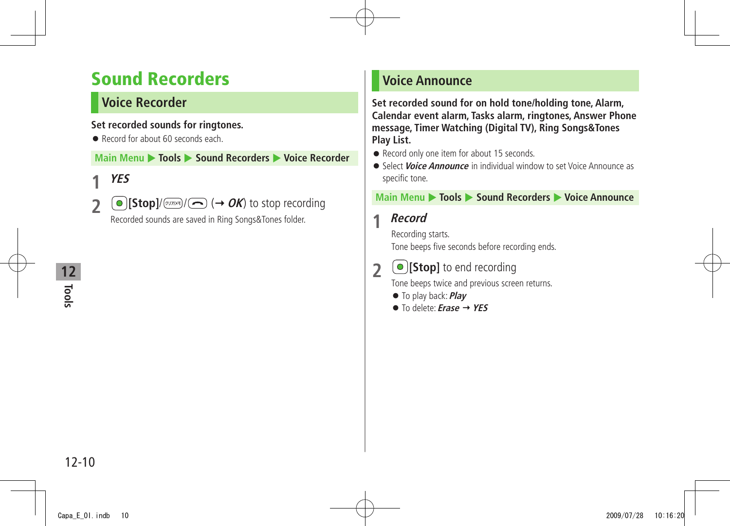## <span id="page-9-0"></span>**Sound Recorders**

## **Voice Recorder**

#### **Set recorded sounds for ringtones.**

● Record for about 60 seconds each.

**Main Menu ▶ Tools ▶ Sound Recorders ▶ Voice Recorder** 

## **1 YES**

**2**  $\bullet$  [Stop]/ $\circledcirc$   $\circledcirc$  ( $\rightarrow$  OK) to stop recording Recorded sounds are saved in Ring Songs&Tones folder.

## **Tools 12**

## **Voice Announce**

**Set recorded sound for on hold tone/holding tone, Alarm, Calendar event alarm, Tasks alarm, ringtones, Answer Phone message, Timer Watching (Digital TV), Ring Songs&Tones Play List.**

- Record only one item for about 15 seconds.
- Select **Voice Announce** in individual window to set Voice Announce as specific tone.

#### **Main Menu** X **Tools** X **Sound Recorders** X **Voice Announce**

### **1 Record**

Recording starts. Tone beeps five seconds before recording ends.

## **2 [Stop]** to end recording

Tone beeps twice and previous screen returns.

- To play back: **Play**
- To delete: **Erase YES**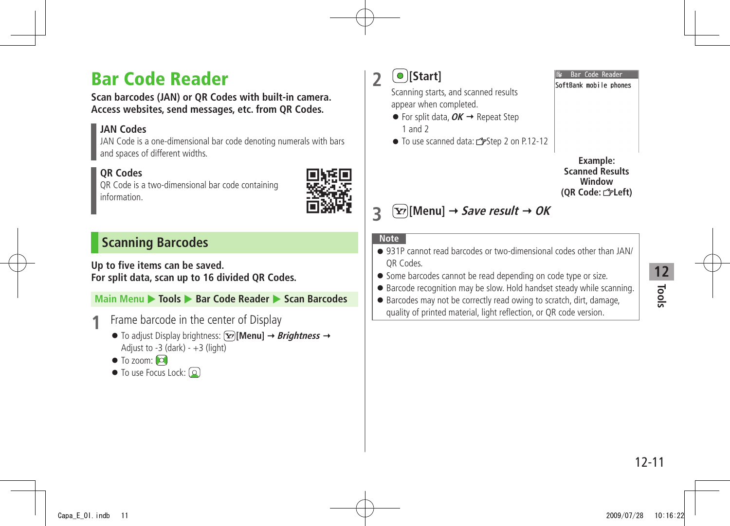## <span id="page-10-0"></span>**Bar Code Reader**

**Scan barcodes (JAN) or QR Codes with built-in camera. Access websites, send messages, etc. from QR Codes.**

#### **JAN Codes**

JAN Code is a one-dimensional bar code denoting numerals with bars and spaces of different widths.

### **QR Codes**

QR Code is a two-dimensional bar code containing information.



## **Scanning Barcodes**

#### **Up to five items can be saved. For split data, scan up to 16 divided QR Codes.**

### **Main Menu** X **Tools** X **Bar Code Reader** X **Scan Barcodes**

- **1** Frame barcode in the center of Display
	- $\bullet$  To adjust Display brightness:  $\widehat{X}$ [Menu]  $\rightarrow$  *Brightness*  $\rightarrow$ Adjust to  $-3$  (dark)  $- +3$  (light)
	- $\bullet$  To zoom:  $\circledcirc$
	- $\bullet$  To use Focus Lock:  $\Omega$

**2 [Start]**

Scanning starts, and scanned results appear when completed.

- $\bullet$  For split data,  $OK \rightarrow$  Repeat Step 1 and 2
- To use scanned data: r Step 2 on P.12-12



lar Code Reader SoftBank mobile phones

## **2**  $\boxed{\mathbf{Y}}$  [Menu]  $\rightarrow$  Save result  $\rightarrow$  OK

#### **Note**

- 931P cannot read barcodes or two-dimensional codes other than JAN/ QR Codes.
- Some barcodes cannot be read depending on code type or size.
- Barcode recognition may be slow. Hold handset steady while scanning.
- Barcodes may not be correctly read owing to scratch, dirt, damage, quality of printed material, light reflection, or QR code version.